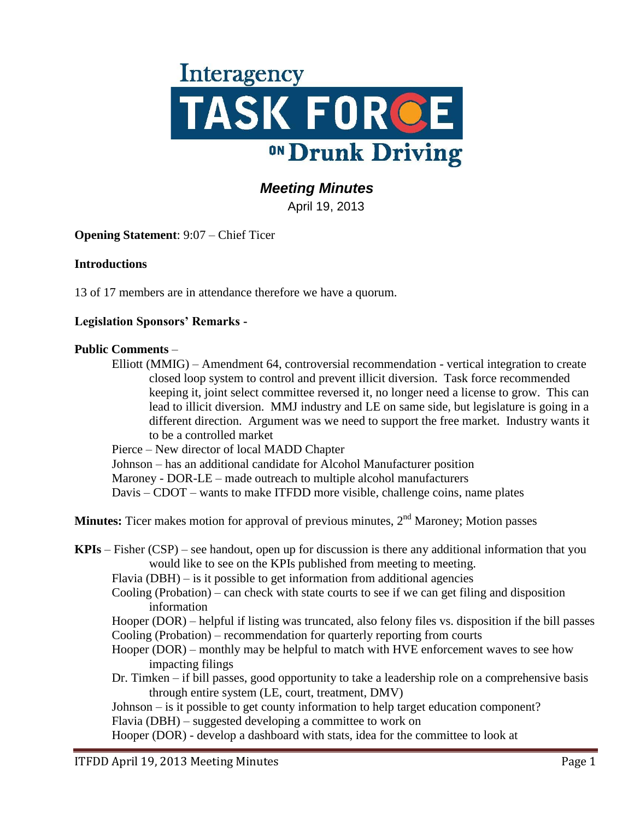

# *Meeting Minutes*

April 19, 2013

**Opening Statement**: 9:07 – Chief Ticer

### **Introductions**

13 of 17 members are in attendance therefore we have a quorum.

### **Legislation Sponsors' Remarks -**

#### **Public Comments** –

Elliott (MMIG) – Amendment 64, controversial recommendation - vertical integration to create closed loop system to control and prevent illicit diversion. Task force recommended keeping it, joint select committee reversed it, no longer need a license to grow. This can lead to illicit diversion. MMJ industry and LE on same side, but legislature is going in a different direction. Argument was we need to support the free market. Industry wants it to be a controlled market

Pierce – New director of local MADD Chapter

Johnson – has an additional candidate for Alcohol Manufacturer position

Maroney - DOR-LE – made outreach to multiple alcohol manufacturers

Davis – CDOT – wants to make ITFDD more visible, challenge coins, name plates

**Minutes:** Ticer makes motion for approval of previous minutes, 2<sup>nd</sup> Maroney; Motion passes

- **KPIs** Fisher (CSP) see handout, open up for discussion is there any additional information that you would like to see on the KPIs published from meeting to meeting.
	- Flavia  $(DBH)$  is it possible to get information from additional agencies
	- Cooling (Probation) can check with state courts to see if we can get filing and disposition information

Hooper (DOR) – helpful if listing was truncated, also felony files vs. disposition if the bill passes Cooling (Probation) – recommendation for quarterly reporting from courts

- Hooper (DOR) monthly may be helpful to match with HVE enforcement waves to see how impacting filings
- Dr. Timken if bill passes, good opportunity to take a leadership role on a comprehensive basis through entire system (LE, court, treatment, DMV)

Johnson – is it possible to get county information to help target education component?

Flavia (DBH) – suggested developing a committee to work on

Hooper (DOR) - develop a dashboard with stats, idea for the committee to look at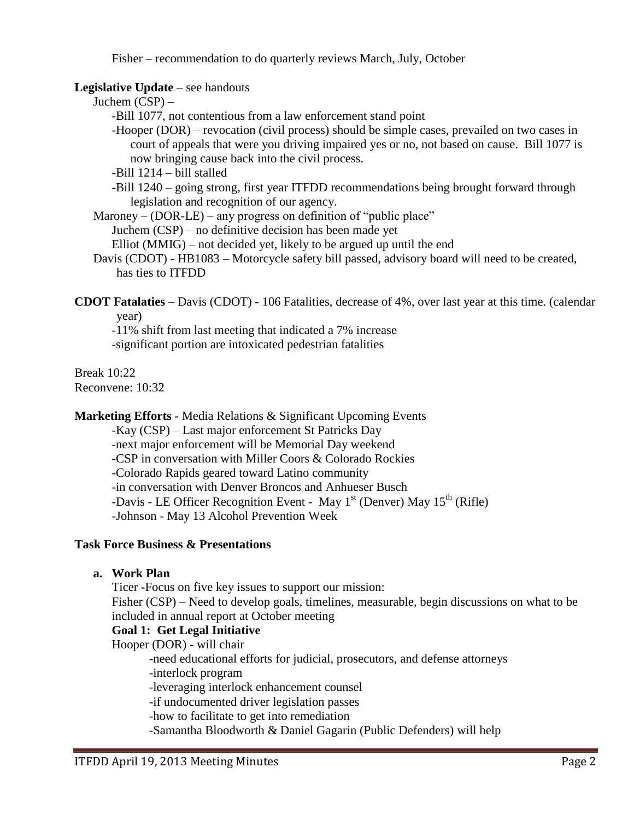Fisher – recommendation to do quarterly reviews March, July, October

### **Legislative Update** – see handouts

Juchem (CSP) –

-Bill 1077, not contentious from a law enforcement stand point

-Hooper (DOR) – revocation (civil process) should be simple cases, prevailed on two cases in court of appeals that were you driving impaired yes or no, not based on cause. Bill 1077 is now bringing cause back into the civil process.

-Bill 1214 – bill stalled

-Bill 1240 – going strong, first year ITFDD recommendations being brought forward through legislation and recognition of our agency.

Maroney –  $(DOR-LE)$  – any progress on definition of "public place" Juchem (CSP) – no definitive decision has been made yet

Elliot (MMIG) – not decided yet, likely to be argued up until the end

Davis (CDOT) - HB1083 – Motorcycle safety bill passed, advisory board will need to be created, has ties to ITFDD

**CDOT Fatalaties** – Davis (CDOT) - 106 Fatalities, decrease of 4%, over last year at this time. (calendar year)

-11% shift from last meeting that indicated a 7% increase

-significant portion are intoxicated pedestrian fatalities

Break 10:22 Reconvene: 10:32

**Marketing Efforts -** Media Relations & Significant Upcoming Events

-Kay (CSP) – Last major enforcement St Patricks Day

-next major enforcement will be Memorial Day weekend

-CSP in conversation with Miller Coors & Colorado Rockies

-Colorado Rapids geared toward Latino community

-in conversation with Denver Broncos and Anhueser Busch

-Davis - LE Officer Recognition Event - May  $1<sup>st</sup>$  (Denver) May  $15<sup>th</sup>$  (Rifle)

-Johnson - May 13 Alcohol Prevention Week

### **Task Force Business & Presentations**

# **a. Work Plan**

Ticer **-**Focus on five key issues to support our mission: Fisher (CSP) – Need to develop goals, timelines, measurable, begin discussions on what to be included in annual report at October meeting

# **Goal 1: Get Legal Initiative**

Hooper (DOR) - will chair

-need educational efforts for judicial, prosecutors, and defense attorneys

-interlock program

-leveraging interlock enhancement counsel

-if undocumented driver legislation passes

-how to facilitate to get into remediation

-Samantha Bloodworth & Daniel Gagarin (Public Defenders) will help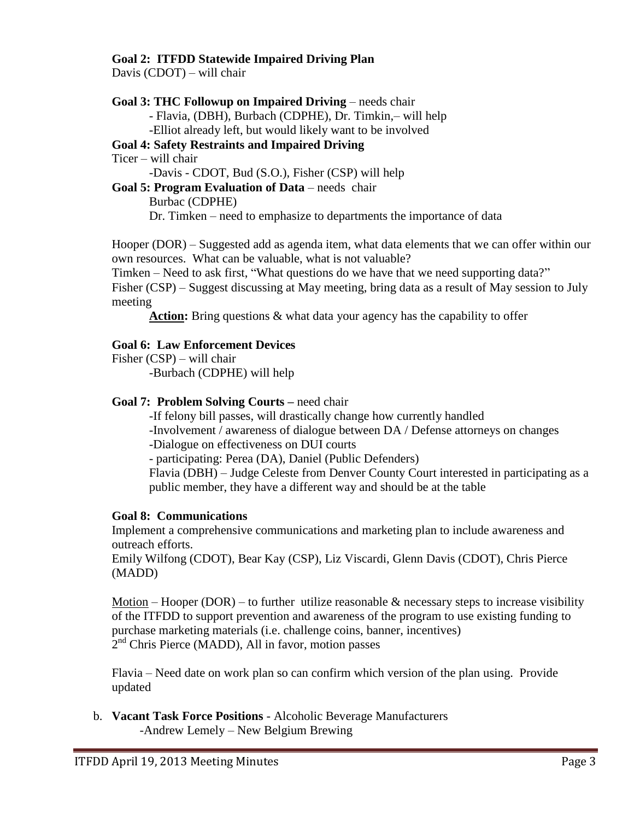### **Goal 2: ITFDD Statewide Impaired Driving Plan**

Davis (CDOT) – will chair

### **Goal 3: THC Followup on Impaired Driving** – needs chair

- Flavia, (DBH), Burbach (CDPHE), Dr. Timkin,– will help

-Elliot already left, but would likely want to be involved

# **Goal 4: Safety Restraints and Impaired Driving**

Ticer – will chair

-Davis - CDOT, Bud (S.O.), Fisher (CSP) will help

### **Goal 5: Program Evaluation of Data** – needs chair

Burbac (CDPHE) Dr. Timken – need to emphasize to departments the importance of data

Hooper (DOR) – Suggested add as agenda item, what data elements that we can offer within our own resources. What can be valuable, what is not valuable?

Timken – Need to ask first, "What questions do we have that we need supporting data?" Fisher (CSP) – Suggest discussing at May meeting, bring data as a result of May session to July meeting

Action: Bring questions  $\&$  what data your agency has the capability to offer

# **Goal 6: Law Enforcement Devices**

Fisher (CSP) – will chair

-Burbach (CDPHE) will help

# **Goal 7: Problem Solving Courts –** need chair

-If felony bill passes, will drastically change how currently handled

-Involvement / awareness of dialogue between DA / Defense attorneys on changes -Dialogue on effectiveness on DUI courts

- participating: Perea (DA), Daniel (Public Defenders)

Flavia (DBH) – Judge Celeste from Denver County Court interested in participating as a public member, they have a different way and should be at the table

# **Goal 8: Communications**

Implement a comprehensive communications and marketing plan to include awareness and outreach efforts.

Emily Wilfong (CDOT), Bear Kay (CSP), Liz Viscardi, Glenn Davis (CDOT), Chris Pierce (MADD)

Motion – Hooper (DOR) – to further utilize reasonable  $\&$  necessary steps to increase visibility of the ITFDD to support prevention and awareness of the program to use existing funding to purchase marketing materials (i.e. challenge coins, banner, incentives) 2<sup>nd</sup> Chris Pierce (MADD), All in favor, motion passes

Flavia – Need date on work plan so can confirm which version of the plan using. Provide updated

b. **Vacant Task Force Positions** - Alcoholic Beverage Manufacturers -Andrew Lemely – New Belgium Brewing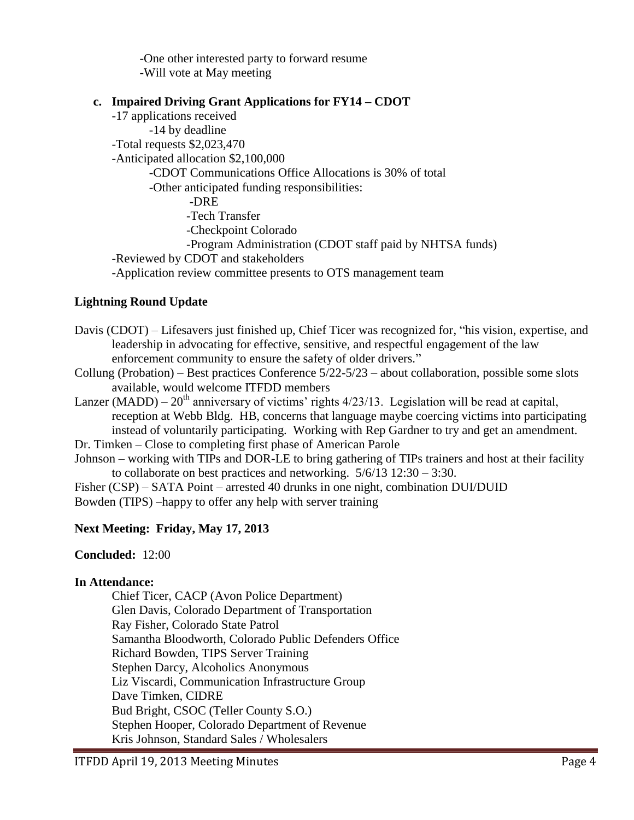-One other interested party to forward resume -Will vote at May meeting

### **c. Impaired Driving Grant Applications for FY14 – CDOT**

-17 applications received -14 by deadline -Total requests \$2,023,470 -Anticipated allocation \$2,100,000 -CDOT Communications Office Allocations is 30% of total -Other anticipated funding responsibilities: -DRE -Tech Transfer -Checkpoint Colorado -Program Administration (CDOT staff paid by NHTSA funds) -Reviewed by CDOT and stakeholders -Application review committee presents to OTS management team

### **Lightning Round Update**

- Davis (CDOT) Lifesavers just finished up, Chief Ticer was recognized for, "his vision, expertise, and leadership in advocating for effective, sensitive, and respectful engagement of the law enforcement community to ensure the safety of older drivers."
- Collung (Probation) Best practices Conference 5/22-5/23 about collaboration, possible some slots available, would welcome ITFDD members
- Lanzer (MADD)  $20<sup>th</sup>$  anniversary of victims' rights  $4/23/13$ . Legislation will be read at capital, reception at Webb Bldg. HB, concerns that language maybe coercing victims into participating instead of voluntarily participating. Working with Rep Gardner to try and get an amendment.
- Dr. Timken Close to completing first phase of American Parole
- Johnson working with TIPs and DOR-LE to bring gathering of TIPs trainers and host at their facility to collaborate on best practices and networking. 5/6/13 12:30 – 3:30.

Fisher (CSP) – SATA Point – arrested 40 drunks in one night, combination DUI/DUID

Bowden (TIPS) –happy to offer any help with server training

#### **Next Meeting: Friday, May 17, 2013**

**Concluded:** 12:00

#### **In Attendance:**

Chief Ticer, CACP (Avon Police Department) Glen Davis, Colorado Department of Transportation Ray Fisher, Colorado State Patrol Samantha Bloodworth, Colorado Public Defenders Office Richard Bowden, TIPS Server Training Stephen Darcy, Alcoholics Anonymous Liz Viscardi, Communication Infrastructure Group Dave Timken, CIDRE Bud Bright, CSOC (Teller County S.O.) Stephen Hooper, Colorado Department of Revenue Kris Johnson, Standard Sales / Wholesalers